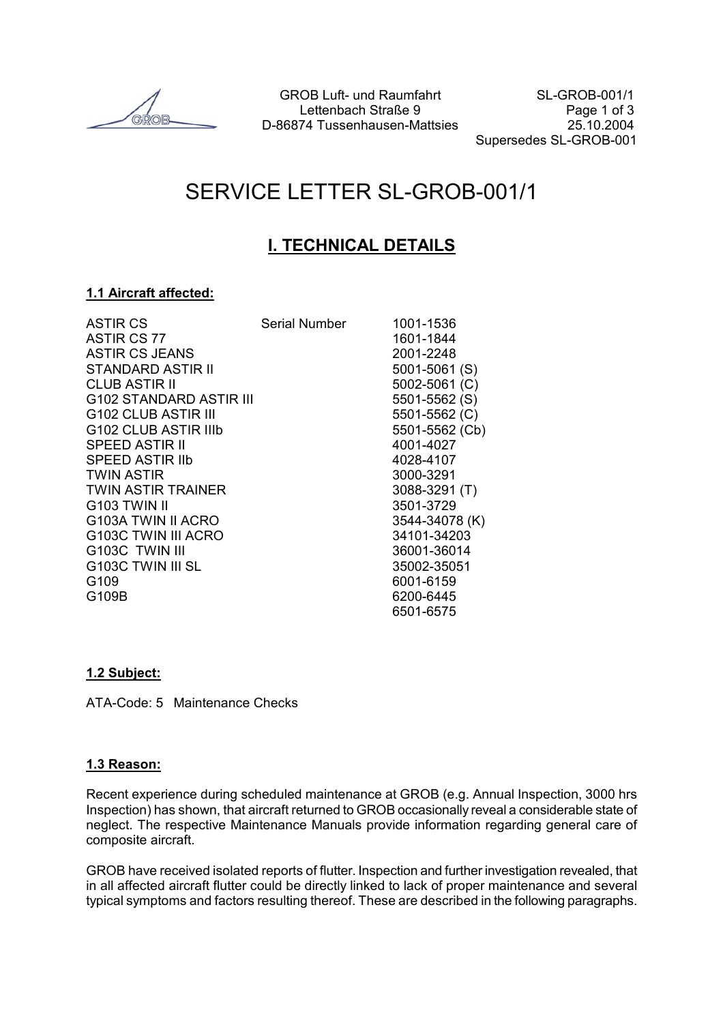GROB Luft- und Raumfahrt SL-GROB-001/1 Lettenbach Straße 9 Page 1 of 3 D-86874 Tussenhausen-Mattsies 25.10.2004

Supersedes SL-GROB-001

# SERVICE LETTER SL-GROB-001/1

# **I. TECHNICAL DETAILS**

#### **1.1 Aircraft affected:**

| <b>ASTIR CS</b>                 | Serial Number | 1001-1536      |
|---------------------------------|---------------|----------------|
| ASTIR CS 77                     |               | 1601-1844      |
| <b>ASTIR CS JEANS</b>           |               | 2001-2248      |
| STANDARD ASTIR II               |               | 5001-5061 (S)  |
| <b>CLUB ASTIR II</b>            |               | 5002-5061 (C)  |
| G102 STANDARD ASTIR III         |               | 5501-5562 (S)  |
| G102 CLUB ASTIR III             |               | 5501-5562 (C)  |
| G102 CLUB ASTIR IIIb            |               | 5501-5562 (Cb) |
| SPEED ASTIR II                  |               | 4001-4027      |
| <b>SPEED ASTIR IIb</b>          |               | 4028-4107      |
| <b>TWIN ASTIR</b>               |               | 3000-3291      |
| <b>TWIN ASTIR TRAINER</b>       |               | 3088-3291 (T)  |
| G <sub>103</sub> TWIN II        |               | 3501-3729      |
| G <sub>103</sub> A TWIN II ACRO |               | 3544-34078 (K) |
| G103C TWIN III ACRO             |               | 34101-34203    |
| G103C TWIN III                  |               | 36001-36014    |
| G103C TWIN III SL               |               | 35002-35051    |
| G <sub>109</sub>                |               | 6001-6159      |
| G109B                           |               | 6200-6445      |
|                                 |               | 6501-6575      |
|                                 |               |                |

#### **1.2 Subject:**

ATA-Code: 5 Maintenance Checks

#### **1.3 Reason:**

Recent experience during scheduled maintenance at GROB (e.g. Annual Inspection, 3000 hrs Inspection) has shown, that aircraft returned to GROB occasionally reveal a considerable state of neglect. The respective Maintenance Manuals provide information regarding general care of composite aircraft.

GROB have received isolated reports of flutter. Inspection and further investigation revealed, that in all affected aircraft flutter could be directly linked to lack of proper maintenance and several typical symptoms and factors resulting thereof. These are described in the following paragraphs.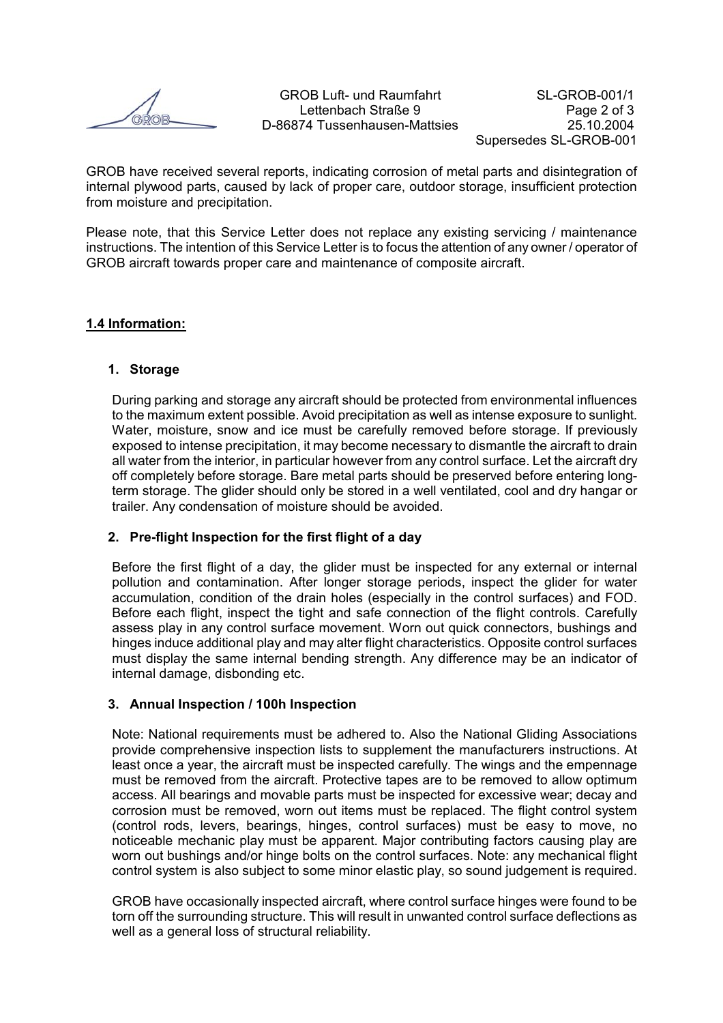GROB have received several reports, indicating corrosion of metal parts and disintegration of internal plywood parts, caused by lack of proper care, outdoor storage, insufficient protection from moisture and precipitation.

Please note, that this Service Letter does not replace any existing servicing / maintenance instructions. The intention of this Service Letter is to focus the attention of any owner / operator of GROB aircraft towards proper care and maintenance of composite aircraft.

#### **1.4 Information:**

#### **1. Storage**

During parking and storage any aircraft should be protected from environmental influences to the maximum extent possible. Avoid precipitation as well as intense exposure to sunlight. Water, moisture, snow and ice must be carefully removed before storage. If previously exposed to intense precipitation, it may become necessary to dismantle the aircraft to drain all water from the interior, in particular however from any control surface. Let the aircraft dry off completely before storage. Bare metal parts should be preserved before entering longterm storage. The glider should only be stored in a well ventilated, cool and dry hangar or trailer. Any condensation of moisture should be avoided.

#### **2. Pre-flight Inspection for the first flight of a day**

Before the first flight of a day, the glider must be inspected for any external or internal pollution and contamination. After longer storage periods, inspect the glider for water accumulation, condition of the drain holes (especially in the control surfaces) and FOD. Before each flight, inspect the tight and safe connection of the flight controls. Carefully assess play in any control surface movement. Worn out quick connectors, bushings and hinges induce additional play and may alter flight characteristics. Opposite control surfaces must display the same internal bending strength. Any difference may be an indicator of internal damage, disbonding etc.

#### **3. Annual Inspection / 100h Inspection**

Note: National requirements must be adhered to. Also the National Gliding Associations provide comprehensive inspection lists to supplement the manufacturers instructions. At least once a year, the aircraft must be inspected carefully. The wings and the empennage must be removed from the aircraft. Protective tapes are to be removed to allow optimum access. All bearings and movable parts must be inspected for excessive wear; decay and corrosion must be removed, worn out items must be replaced. The flight control system (control rods, levers, bearings, hinges, control surfaces) must be easy to move, no noticeable mechanic play must be apparent. Major contributing factors causing play are worn out bushings and/or hinge bolts on the control surfaces. Note: any mechanical flight control system is also subject to some minor elastic play, so sound judgement is required.

GROB have occasionally inspected aircraft, where control surface hinges were found to be torn off the surrounding structure. This will result in unwanted control surface deflections as well as a general loss of structural reliability.